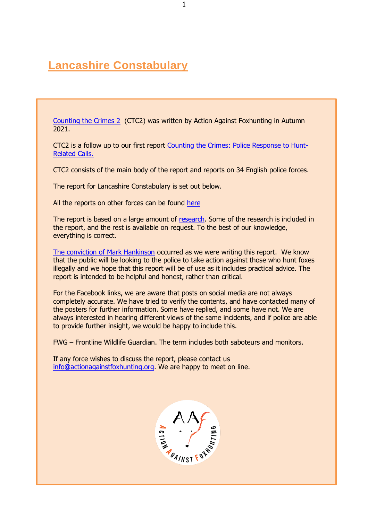# **Lancashire Constabulary**

[Counting the Crimes 2](https://www.actionagainstfoxhunting.org/counting-the-crimes2-the-police-response/) (CTC2) was written by Action Against Foxhunting in Autumn 2021.

CTC2 is a follow up to our first report [Counting the Crimes: Police Response to Hunt-](https://www.actionagainstfoxhunting.org/counting-the-crimes/)[Related Calls.](https://www.actionagainstfoxhunting.org/counting-the-crimes/)

CTC2 consists of the main body of the report and reports on 34 English police forces.

The report for Lancashire Constabulary is set out below.

All the reports on other forces can be found [here](https://www.actionagainstfoxhunting.org/counting-the-crimes2-the-police-response/)

The report is based on a large amount of [research.](https://www.actionagainstfoxhunting.org/wp-content/uploads/2021/11/A-1411-Research-for-CTC2.pdf) Some of the research is included in the report, and the rest is available on request. To the best of our knowledge, everything is correct.

[The conviction of Mark Hankinson](https://www.league.org.uk/news-and-resources/news/hunting-office-webinars-the-road-to-conviction/) occurred as we were writing this report. We know that the public will be looking to the police to take action against those who hunt foxes illegally and we hope that this report will be of use as it includes practical advice. The report is intended to be helpful and honest, rather than critical.

For the Facebook links, we are aware that posts on social media are not always completely accurate. We have tried to verify the contents, and have contacted many of the posters for further information. Some have replied, and some have not. We are always interested in hearing different views of the same incidents, and if police are able to provide further insight, we would be happy to include this.

FWG – Frontline Wildlife Guardian. The term includes both saboteurs and monitors.

If any force wishes to discuss the report, please contact us [info@actionagainstfoxhunting.org.](mailto:info@actionagainstfoxhunting.org) We are happy to meet on line.

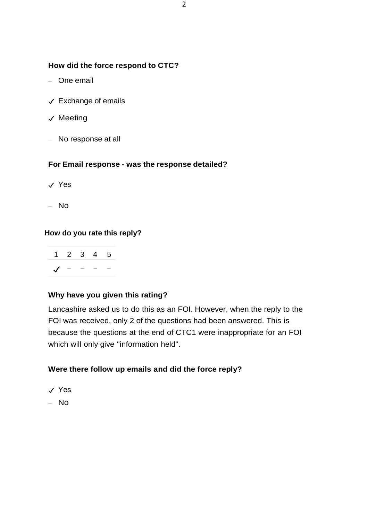## **How did the force respond to CTC?**

- One email
- ✓ Exchange of emails
- ✓ Meeting
- No response at all

## **For Email response - was the response detailed?**

- ✓ Yes
- No

## **How do you rate this reply?**

|            |  | 1 2 3 4 5 |  |
|------------|--|-----------|--|
| $\sqrt{2}$ |  |           |  |

## **Why have you given this rating?**

Lancashire asked us to do this as an FOI. However, when the reply to the FOI was received, only 2 of the questions had been answered. This is because the questions at the end of CTC1 were inappropriate for an FOI which will only give "information held".

## **Were there follow up emails and did the force reply?**

- ✓ Yes
- No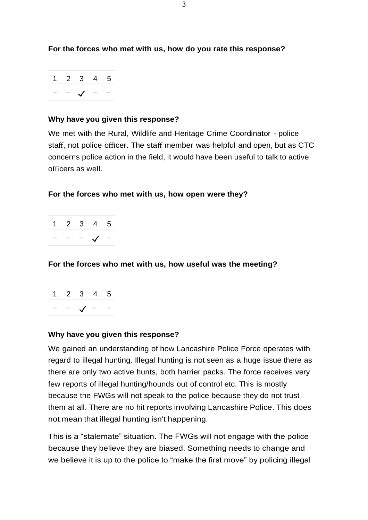**For the forces who met with us, how do you rate this response?**

|  | 1 2 3 4 5     |  |
|--|---------------|--|
|  | $ \sqrt{$ $-$ |  |

## **Why have you given this response?**

We met with the Rural, Wildlife and Heritage Crime Coordinator - police staff, not police officer. The staff member was helpful and open, but as CTC concerns police action in the field, it would have been useful to talk to active officers as well.

## **For the forces who met with us, how open were they?**

| クー | - 2 | ц. | .5 |
|----|-----|----|----|
|    |     |    |    |

## **For the forces who met with us, how useful was the meeting?**



## **Why have you given this response?**

We gained an understanding of how Lancashire Police Force operates with regard to illegal hunting. Illegal hunting is not seen as a huge issue there as there are only two active hunts, both harrier packs. The force receives very few reports of illegal hunting/hounds out of control etc. This is mostly because the FWGs will not speak to the police because they do not trust them at all. There are no hit reports involving Lancashire Police. This does not mean that illegal hunting isn't happening.

This is a "stalemate" situation. The FWGs will not engage with the police because they believe they are biased. Something needs to change and we believe it is up to the police to "make the first move" by policing illegal

3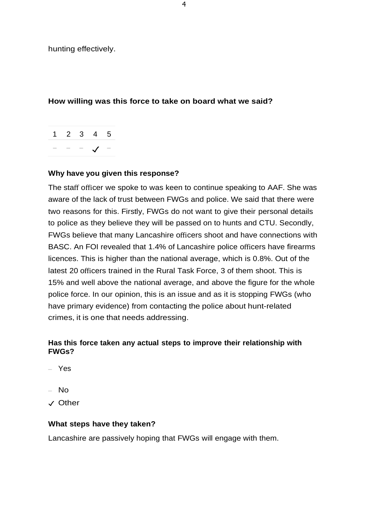hunting effectively.

## **How willing was this force to take on board what we said?**



## **Why have you given this response?**

The staff officer we spoke to was keen to continue speaking to AAF. She was aware of the lack of trust between FWGs and police. We said that there were two reasons for this. Firstly, FWGs do not want to give their personal details to police as they believe they will be passed on to hunts and CTU. Secondly, FWGs believe that many Lancashire officers shoot and have connections with BASC. An FOI revealed that 1.4% of Lancashire police officers have firearms licences. This is higher than the national average, which is 0.8%. Out of the latest 20 officers trained in the Rural Task Force, 3 of them shoot. This is 15% and well above the national average, and above the figure for the whole police force. In our opinion, this is an issue and as it is stopping FWGs (who have primary evidence) from contacting the police about hunt-related crimes, it is one that needs addressing.

## **Has this force taken any actual steps to improve their relationship with FWGs?**

- Yes
- No
- ✓ Other

#### **What steps have they taken?**

Lancashire are passively hoping that FWGs will engage with them.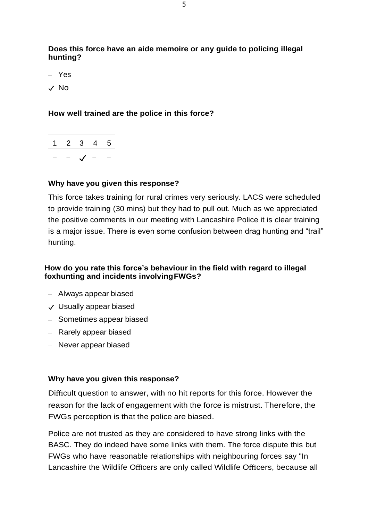**Does this force have an aide memoire or any guide to policing illegal hunting?**

– Yes

✓ No

## **How well trained are the police in this force?**

1 2 3 4 5 − − ✓ − −

## **Why have you given this response?**

This force takes training for rural crimes very seriously. LACS were scheduled to provide training (30 mins) but they had to pull out. Much as we appreciated the positive comments in our meeting with Lancashire Police it is clear training is a major issue. There is even some confusion between drag hunting and "trail" hunting.

## **How do you rate this force's behaviour in the field with regard to illegal foxhunting and incidents involvingFWGs?**

- Always appear biased
- ✓ Usually appear biased
- Sometimes appear biased
- Rarely appear biased
- Never appear biased

#### **Why have you given this response?**

Difficult question to answer, with no hit reports for this force. However the reason for the lack of engagement with the force is mistrust. Therefore, the FWGs perception is that the police are biased.

Police are not trusted as they are considered to have strong links with the BASC. They do indeed have some links with them. The force dispute this but FWGs who have reasonable relationships with neighbouring forces say "In Lancashire the Wildlife Officers are only called Wildlife Officers, because all

5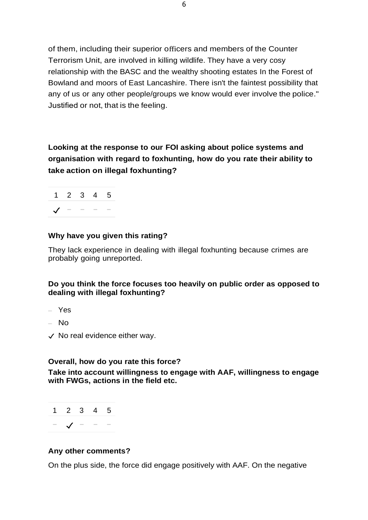of them, including their superior officers and members of the Counter Terrorism Unit, are involved in killing wildlife. They have a very cosy relationship with the BASC and the wealthy shooting estates In the Forest of Bowland and moors of East Lancashire. There isn't the faintest possibility that any of us or any other people/groups we know would ever involve the police." Justified or not, that is the feeling.

**Looking at the response to our FOI asking about police systems and organisation with regard to foxhunting, how do you rate their ability to take action on illegal foxhunting?**



## **Why have you given this rating?**

They lack experience in dealing with illegal foxhunting because crimes are probably going unreported.

## **Do you think the force focuses too heavily on public order as opposed to dealing with illegal foxhunting?**

- Yes
- $-$  No
- ✓ No real evidence either way.

## **Overall, how do you rate this force?**

**Take into account willingness to engage with AAF, willingness to engage with FWGs, actions in the field etc.**



## **Any other comments?**

On the plus side, the force did engage positively with AAF. On the negative